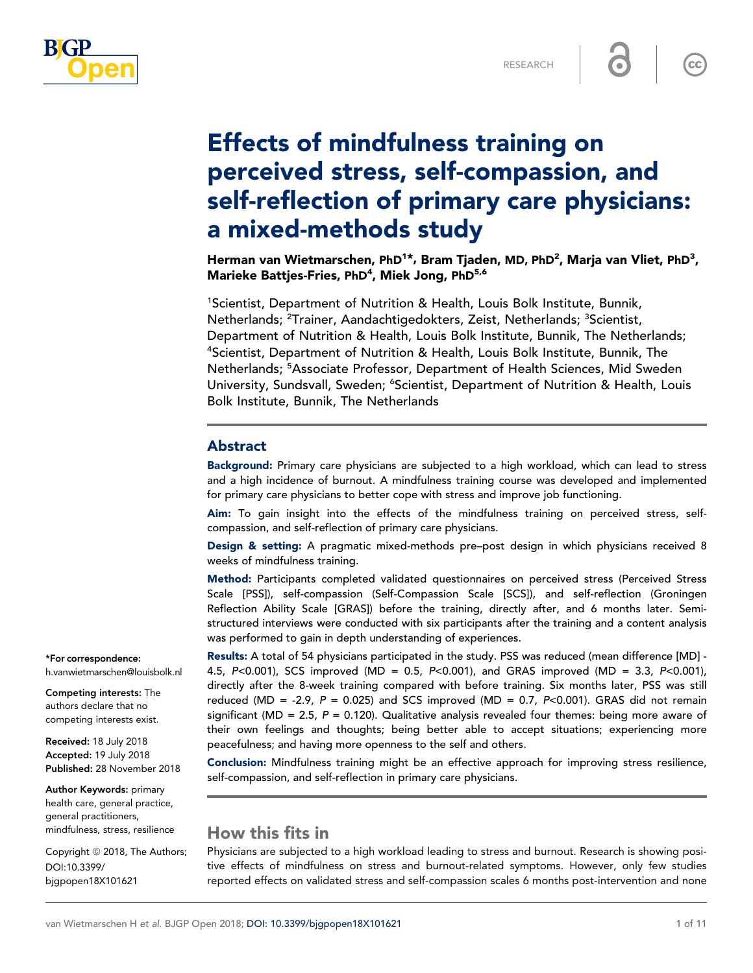

 $cc$ 

# Effects of mindfulness training on perceived stress, self-compassion, and self-reflection of primary care physicians: a mixed-methods study

Herman van Wietmarschen, PhD<sup>1\*,</sup> Bram Tjaden, MD, PhD<sup>2</sup>, Marja van Vliet, PhD<sup>3</sup>, Marieke Battjes-Fries, PhD<sup>4</sup>, Miek Jong, PhD<sup>5,6</sup>

<sup>1</sup>Scientist, Department of Nutrition & Health, Louis Bolk Institute, Bunnik, Netherlands; <sup>2</sup>Trainer, Aandachtigedokters, Zeist, Netherlands; <sup>3</sup>Scientist, Department of Nutrition & Health, Louis Bolk Institute, Bunnik, The Netherlands; 4 Scientist, Department of Nutrition & Health, Louis Bolk Institute, Bunnik, The Netherlands; <sup>5</sup>Associate Professor, Department of Health Sciences, Mid Sweden University, Sundsvall, Sweden; <sup>6</sup>Scientist, Department of Nutrition & Health, Louis Bolk Institute, Bunnik, The Netherlands

## Abstract

Background: Primary care physicians are subjected to a high workload, which can lead to stress and a high incidence of burnout. A mindfulness training course was developed and implemented for primary care physicians to better cope with stress and improve job functioning.

Aim: To gain insight into the effects of the mindfulness training on perceived stress, selfcompassion, and self-reflection of primary care physicians.

Design & setting: A pragmatic mixed-methods pre–post design in which physicians received 8 weeks of mindfulness training.

Method: Participants completed validated questionnaires on perceived stress (Perceived Stress Scale [PSS]), self-compassion (Self-Compassion Scale [SCS]), and self-reflection (Groningen Reflection Ability Scale [GRAS]) before the training, directly after, and 6 months later. Semistructured interviews were conducted with six participants after the training and a content analysis was performed to gain in depth understanding of experiences.

Results: A total of 54 physicians participated in the study. PSS was reduced (mean difference [MD] - 4.5, P<0.001), SCS improved (MD = 0.5, P<0.001), and GRAS improved (MD = 3.3, P<0.001), directly after the 8-week training compared with before training. Six months later, PSS was still reduced (MD = -2.9,  $P = 0.025$ ) and SCS improved (MD = 0.7,  $P < 0.001$ ). GRAS did not remain significant (MD = 2.5,  $P = 0.120$ ). Qualitative analysis revealed four themes: being more aware of their own feelings and thoughts; being better able to accept situations; experiencing more peacefulness; and having more openness to the self and others.

Conclusion: Mindfulness training might be an effective approach for improving stress resilience, self-compassion, and self-reflection in primary care physicians.

## How this fits in

Physicians are subjected to a high workload leading to stress and burnout. Research is showing positive effects of mindfulness on stress and burnout-related symptoms. However, only few studies reported effects on validated stress and self-compassion scales 6 months post-intervention and none

\*For correspondence: h.vanwietmarschen@louisbolk.nl

Competing interests: The authors declare that no competing interests exist.

Received: 18 July 2018 Accepted: 19 July 2018 Published: 28 November 2018

Author Keywords: primary health care, general practice, general practitioners, mindfulness, stress, resilience

Copyright © 2018, The Authors; DOI:10.3399/ bjgpopen18X101621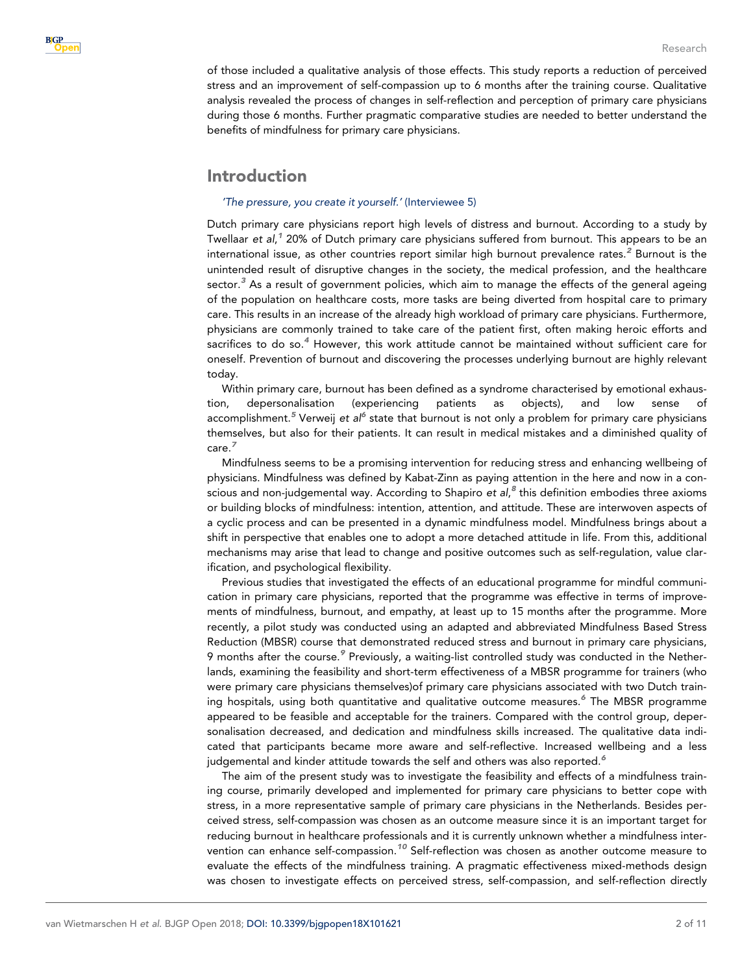of those included a qualitative analysis of those effects. This study reports a reduction of perceived stress and an improvement of self-compassion up to 6 months after the training course. Qualitative analysis revealed the process of changes in self-reflection and perception of primary care physicians during those 6 months. Further pragmatic comparative studies are needed to better understand the benefits of mindfulness for primary care physicians.

# Introduction

#### *'The pressure, you create it yourself.'* (Interviewee 5)

Dutch primary care physicians report high levels of distress and burnout. According to a study by Twellaar *et al*, [1](#page-9-0) 20% of Dutch primary care physicians suffered from burnout. This appears to be an international issue, as other countries report similar high burnout prevalence rates.<sup>[2](#page-9-0)</sup> Burnout is the unintended result of disruptive changes in the society, the medical profession, and the healthcare sector.<sup>[3](#page-9-0)</sup> As a result of government policies, which aim to manage the effects of the general ageing of the population on healthcare costs, more tasks are being diverted from hospital care to primary care. This results in an increase of the already high workload of primary care physicians. Furthermore, physicians are commonly trained to take care of the patient first, often making heroic efforts and sacrifices to do so.<sup>[4](#page-9-0)</sup> However, this work attitude cannot be maintained without sufficient care for oneself. Prevention of burnout and discovering the processes underlying burnout are highly relevant today.

Within primary care, burnout has been defined as a syndrome characterised by emotional exhaustion, depersonalisation (experiencing patients as objects), and low sense of accomplishment.<sup>[5](#page-9-0)</sup> Verweij et al<sup>[6](#page-9-0)</sup> state that burnout is not only a problem for primary care physicians themselves, but also for their patients. It can result in medical mistakes and a diminished quality of care.[7](#page-9-0)

Mindfulness seems to be a promising intervention for reducing stress and enhancing wellbeing of physicians. Mindfulness was defined by Kabat-Zinn as paying attention in the here and now in a conscious and non-judgemental way. According to Shapiro *et al*, [8](#page-9-0) this definition embodies three axioms or building blocks of mindfulness: intention, attention, and attitude. These are interwoven aspects of a cyclic process and can be presented in a dynamic mindfulness model. Mindfulness brings about a shift in perspective that enables one to adopt a more detached attitude in life. From this, additional mechanisms may arise that lead to change and positive outcomes such as self-regulation, value clarification, and psychological flexibility.

Previous studies that investigated the effects of an educational programme for mindful communication in primary care physicians, reported that the programme was effective in terms of improvements of mindfulness, burnout, and empathy, at least up to 15 months after the programme. More recently, a pilot study was conducted using an adapted and abbreviated Mindfulness Based Stress Reduction (MBSR) course that demonstrated reduced stress and burnout in primary care physicians, [9](#page-9-0) months after the course.<sup>9</sup> Previously, a waiting-list controlled study was conducted in the Netherlands, examining the feasibility and short-term effectiveness of a MBSR programme for trainers (who were primary care physicians themselves)of primary care physicians associated with two Dutch train-ing hospitals, using both quantitative and qualitative outcome measures.<sup>[6](#page-9-0)</sup> The MBSR programme appeared to be feasible and acceptable for the trainers. Compared with the control group, depersonalisation decreased, and dedication and mindfulness skills increased. The qualitative data indicated that participants became more aware and self-reflective. Increased wellbeing and a less judgemental and kinder attitude towards the self and others was also reported.<sup>[6](#page-9-0)</sup>

The aim of the present study was to investigate the feasibility and effects of a mindfulness training course, primarily developed and implemented for primary care physicians to better cope with stress, in a more representative sample of primary care physicians in the Netherlands. Besides perceived stress, self-compassion was chosen as an outcome measure since it is an important target for reducing burnout in healthcare professionals and it is currently unknown whether a mindfulness inter-vention can enhance self-compassion.<sup>[10](#page-9-0)</sup> Self-reflection was chosen as another outcome measure to evaluate the effects of the mindfulness training. A pragmatic effectiveness mixed-methods design was chosen to investigate effects on perceived stress, self-compassion, and self-reflection directly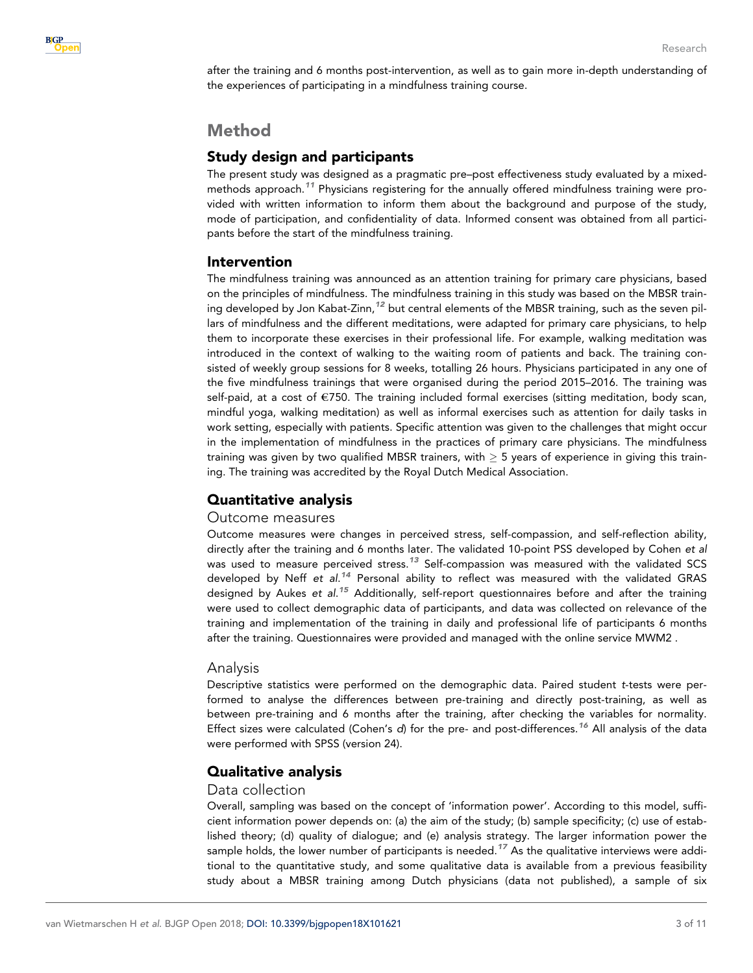

after the training and 6 months post-intervention, as well as to gain more in-depth understanding of the experiences of participating in a mindfulness training course.

# Method

## Study design and participants

The present study was designed as a pragmatic pre–post effectiveness study evaluated by a mixed-methods approach.<sup>[11](#page-9-0)</sup> Physicians registering for the annually offered mindfulness training were provided with written information to inform them about the background and purpose of the study, mode of participation, and confidentiality of data. Informed consent was obtained from all participants before the start of the mindfulness training.

## Intervention

The mindfulness training was announced as an attention training for primary care physicians, based on the principles of mindfulness. The mindfulness training in this study was based on the MBSR train-ing developed by Jon Kabat-Zinn,<sup>[12](#page-9-0)</sup> but central elements of the MBSR training, such as the seven pillars of mindfulness and the different meditations, were adapted for primary care physicians, to help them to incorporate these exercises in their professional life. For example, walking meditation was introduced in the context of walking to the waiting room of patients and back. The training consisted of weekly group sessions for 8 weeks, totalling 26 hours. Physicians participated in any one of the five mindfulness trainings that were organised during the period 2015–2016. The training was self-paid, at a cost of  $\epsilon$ 750. The training included formal exercises (sitting meditation, body scan, mindful yoga, walking meditation) as well as informal exercises such as attention for daily tasks in work setting, especially with patients. Specific attention was given to the challenges that might occur in the implementation of mindfulness in the practices of primary care physicians. The mindfulness training was given by two qualified MBSR trainers, with  $>$  5 years of experience in giving this training. The training was accredited by the Royal Dutch Medical Association.

## Quantitative analysis

#### Outcome measures

Outcome measures were changes in perceived stress, self-compassion, and self-reflection ability, directly after the training and 6 months later. The validated 10-point PSS developed by Cohen *et al* was used to measure perceived stress.<sup>[13](#page-9-0)</sup> Self-compassion was measured with the validated SCS developed by Neff *et al*. [14](#page-9-0) Personal ability to reflect was measured with the validated GRAS designed by Aukes *et al*. [15](#page-9-0) Additionally, self-report questionnaires before and after the training were used to collect demographic data of participants, and data was collected on relevance of the training and implementation of the training in daily and professional life of participants 6 months after the training. Questionnaires were provided and managed with the online service MWM2 .

#### Analysis

Descriptive statistics were performed on the demographic data. Paired student *t*-tests were performed to analyse the differences between pre-training and directly post-training, as well as between pre-training and 6 months after the training, after checking the variables for normality. Effect sizes were calculated (Cohen's *d*) for the pre- and post-differences.<sup>[16](#page-9-0)</sup> All analysis of the data were performed with SPSS (version 24).

## Qualitative analysis

#### Data collection

Overall, sampling was based on the concept of 'information power'. According to this model, sufficient information power depends on: (a) the aim of the study; (b) sample specificity; (c) use of established theory; (d) quality of dialogue; and (e) analysis strategy. The larger information power the sample holds, the lower number of participants is needed.<sup>[17](#page-9-0)</sup> As the qualitative interviews were additional to the quantitative study, and some qualitative data is available from a previous feasibility study about a MBSR training among Dutch physicians (data not published), a sample of six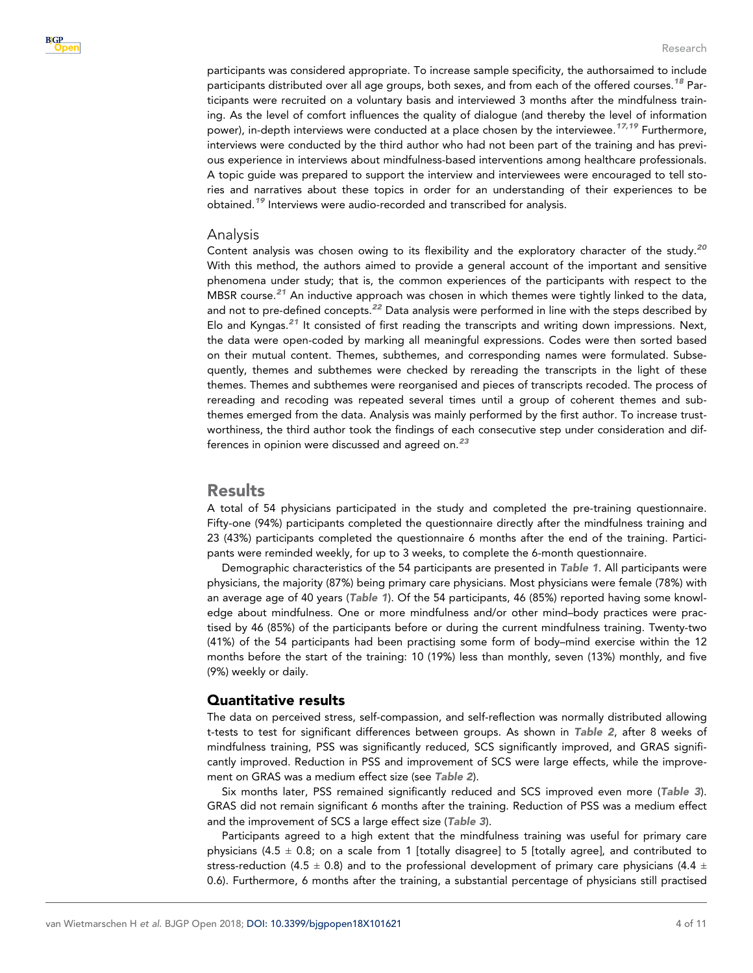participants was considered appropriate. To increase sample specificity, the authorsaimed to include participants distributed over all age groups, both sexes, and from each of the offered courses.<sup>[18](#page-9-0)</sup> Participants were recruited on a voluntary basis and interviewed 3 months after the mindfulness training. As the level of comfort influences the quality of dialogue (and thereby the level of information power), in-depth interviews were conducted at a place chosen by the interviewee.<sup>[17,19](#page-9-0)</sup> Furthermore, interviews were conducted by the third author who had not been part of the training and has previous experience in interviews about mindfulness-based interventions among healthcare professionals. A topic guide was prepared to support the interview and interviewees were encouraged to tell stories and narratives about these topics in order for an understanding of their experiences to be obtained.[19](#page-9-0) Interviews were audio-recorded and transcribed for analysis.

#### Analysis

Content analysis was chosen owing to its flexibility and the exploratory character of the study.<sup>[20](#page-9-0)</sup> With this method, the authors aimed to provide a general account of the important and sensitive phenomena under study; that is, the common experiences of the participants with respect to the MBSR course.<sup>[21](#page-9-0)</sup> An inductive approach was chosen in which themes were tightly linked to the data, and not to pre-defined concepts.<sup>[22](#page-9-0)</sup> Data analysis were performed in line with the steps described by Elo and Kyngas. $^{21}$  $^{21}$  $^{21}$  It consisted of first reading the transcripts and writing down impressions. Next, the data were open-coded by marking all meaningful expressions. Codes were then sorted based on their mutual content. Themes, subthemes, and corresponding names were formulated. Subsequently, themes and subthemes were checked by rereading the transcripts in the light of these themes. Themes and subthemes were reorganised and pieces of transcripts recoded. The process of rereading and recoding was repeated several times until a group of coherent themes and subthemes emerged from the data. Analysis was mainly performed by the first author. To increase trustworthiness, the third author took the findings of each consecutive step under consideration and differences in opinion were discussed and agreed on. $23$ 

#### Results

A total of 54 physicians participated in the study and completed the pre-training questionnaire. Fifty-one (94%) participants completed the questionnaire directly after the mindfulness training and 23 (43%) participants completed the questionnaire 6 months after the end of the training. Participants were reminded weekly, for up to 3 weeks, to complete the 6-month questionnaire.

Demographic characteristics of the 54 participants are presented in [Table 1](#page-4-0). All participants were physicians, the majority (87%) being primary care physicians. Most physicians were female (78%) with an average age of 40 years ([Table 1](#page-4-0)). Of the 54 participants, 46 (85%) reported having some knowledge about mindfulness. One or more mindfulness and/or other mind–body practices were practised by 46 (85%) of the participants before or during the current mindfulness training. Twenty-two (41%) of the 54 participants had been practising some form of body–mind exercise within the 12 months before the start of the training: 10 (19%) less than monthly, seven (13%) monthly, and five (9%) weekly or daily.

#### Quantitative results

The data on perceived stress, self-compassion, and self-reflection was normally distributed allowing t-tests to test for significant differences between groups. As shown in [Table 2](#page-5-0), after 8 weeks of mindfulness training, PSS was significantly reduced, SCS significantly improved, and GRAS significantly improved. Reduction in PSS and improvement of SCS were large effects, while the improvement on GRAS was a medium effect size (see [Table 2](#page-5-0)).

Six months later, PSS remained significantly reduced and SCS improved even more ([Table 3](#page-5-0)). GRAS did not remain significant 6 months after the training. Reduction of PSS was a medium effect and the improvement of SCS a large effect size ([Table 3](#page-5-0)).

Participants agreed to a high extent that the mindfulness training was useful for primary care physicians (4.5  $\pm$  0.8; on a scale from 1 [totally disagree] to 5 [totally agree], and contributed to stress-reduction (4.5  $\pm$  0.8) and to the professional development of primary care physicians (4.4  $\pm$ 0.6). Furthermore, 6 months after the training, a substantial percentage of physicians still practised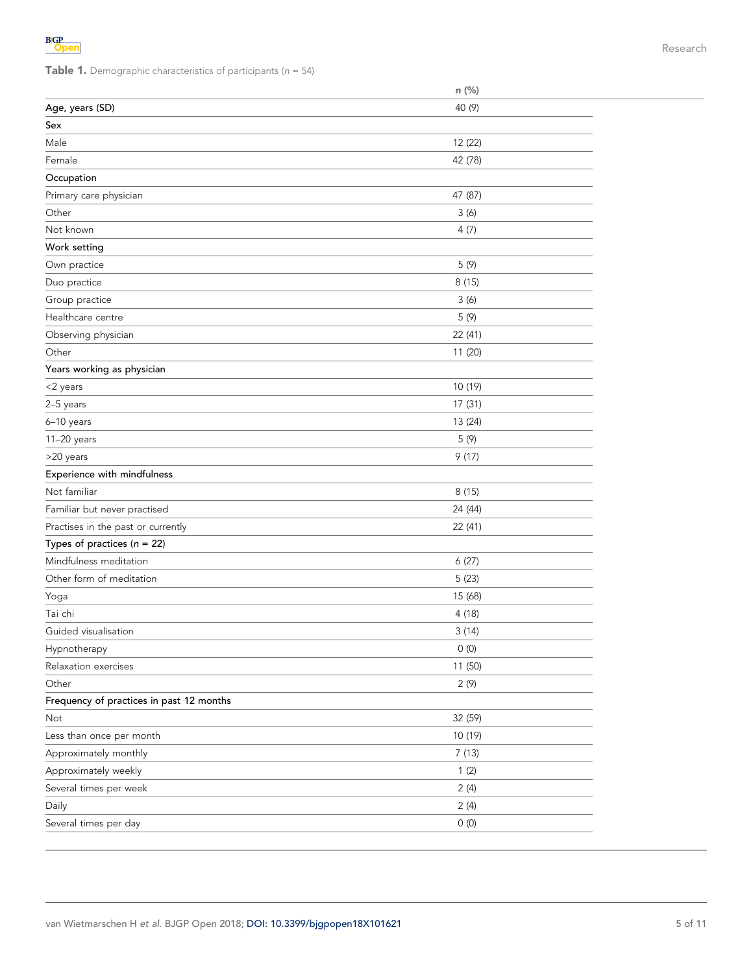<span id="page-4-0"></span>

**Table 1.** Demographic characteristics of participants ( $n = 54$ )

|                                          | n (%)   |
|------------------------------------------|---------|
| Age, years (SD)                          | 40 (9)  |
| Sex                                      |         |
| Male                                     | 12 (22) |
| Female                                   | 42 (78) |
| Occupation                               |         |
| Primary care physician                   | 47 (87) |
| Other                                    | 3(6)    |
| Not known                                | 4(7)    |
| Work setting                             |         |
| Own practice                             | 5(9)    |
| Duo practice                             | 8 (15)  |
| Group practice                           | 3(6)    |
| Healthcare centre                        | 5 (9)   |
| Observing physician                      | 22 (41) |
| Other                                    | 11 (20) |
| Years working as physician               |         |
| <2 years                                 | 10 (19) |
| 2-5 years                                | 17 (31) |
| 6-10 years                               | 13 (24) |
| $11-20$ years                            | 5 (9)   |
| >20 years                                | 9(17)   |
| Experience with mindfulness              |         |
| Not familiar                             | 8 (15)  |
| Familiar but never practised             | 24 (44) |
| Practises in the past or currently       | 22 (41) |
| Types of practices ( $n = 22$ )          |         |
| Mindfulness meditation                   | 6(27)   |
| Other form of meditation                 | 5(23)   |
| Yoga                                     | 15 (68) |
| Tai chi                                  | 4(18)   |
| Guided visualisation                     | 3(14)   |
| Hypnotherapy                             | 0(0)    |
| Relaxation exercises                     | 11 (50) |
| Other                                    | 2(9)    |
| Frequency of practices in past 12 months |         |
| Not                                      | 32 (59) |
| Less than once per month                 | 10 (19) |
| Approximately monthly                    | 7(13)   |
| Approximately weekly                     | 1(2)    |
| Several times per week                   | 2(4)    |
| Daily                                    | 2(4)    |
| Several times per day                    | 0(0)    |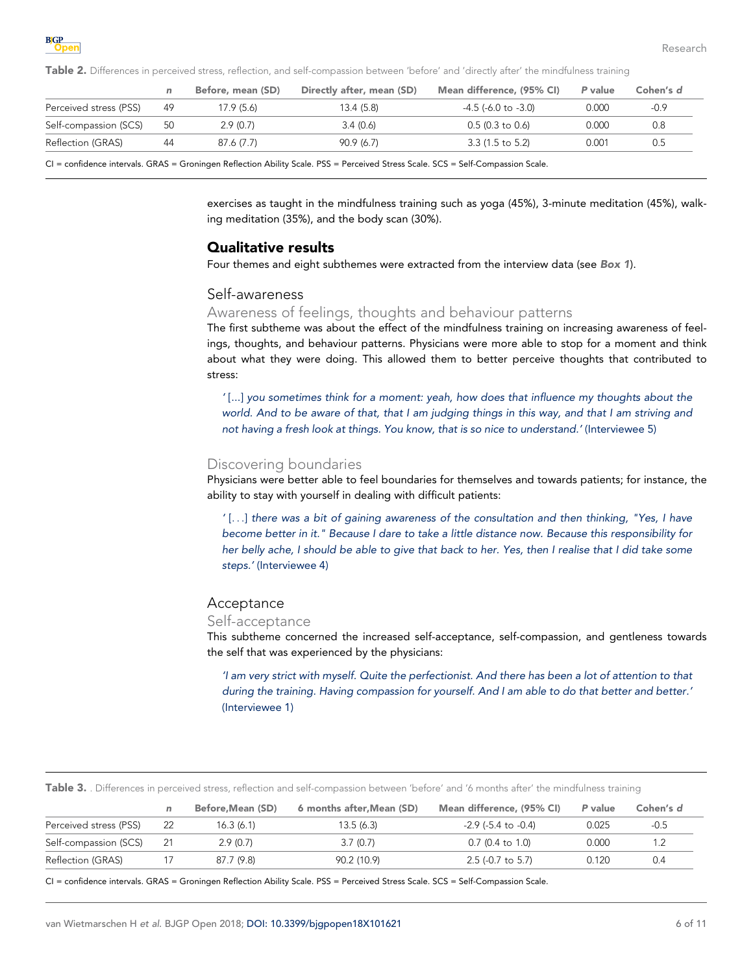<span id="page-5-0"></span>

Table 2. Differences in perceived stress, reflection, and self-compassion between 'before' and 'directly after' the mindfulness training

|                        |    | Before, mean (SD) | Directly after, mean (SD) | Mean difference, (95% CI) | P value | Cohen's d |
|------------------------|----|-------------------|---------------------------|---------------------------|---------|-----------|
| Perceived stress (PSS) | 49 | 17.9(5.6)         | 13.4 (5.8)                | -4.5 (-6.0 to -3.0)       | 0.000   | $-0.9$    |
| Self-compassion (SCS)  | 50 | 2.9(0.7)          | 3.4(0.6)                  | $0.5(0.3)$ to $0.6$       | 0.000   | 0.8       |
| Reflection (GRAS)      | 44 | 87.6(7.7)         | 90.9(6.7)                 | 3.3 (1.5 to 5.2)          | 0.001   | 0.5       |
|                        |    |                   |                           |                           |         |           |

CI = confidence intervals. GRAS = Groningen Reflection Ability Scale. PSS = Perceived Stress Scale. SCS = Self-Compassion Scale.

exercises as taught in the mindfulness training such as yoga (45%), 3-minute meditation (45%), walking meditation (35%), and the body scan (30%).

## Qualitative results

Four themes and eight subthemes were extracted from the interview data (see [Box 1](#page-6-0)).

### Self-awareness

### Awareness of feelings, thoughts and behaviour patterns

The first subtheme was about the effect of the mindfulness training on increasing awareness of feelings, thoughts, and behaviour patterns. Physicians were more able to stop for a moment and think about what they were doing. This allowed them to better perceive thoughts that contributed to stress:

*'* [...] *you sometimes think for a moment: yeah, how does that influence my thoughts about the world. And to be aware of that, that I am judging things in this way, and that I am striving and not having a fresh look at things. You know, that is so nice to understand.'* (Interviewee 5)

#### Discovering boundaries

Physicians were better able to feel boundaries for themselves and towards patients; for instance, the ability to stay with yourself in dealing with difficult patients:

*'* [. . .] *there was a bit of gaining awareness of the consultation and then thinking, "Yes, I have become better in it." Because I dare to take a little distance now. Because this responsibility for her belly ache, I should be able to give that back to her. Yes, then I realise that I did take some steps.'* (Interviewee 4)

#### Acceptance

#### Self-acceptance

This subtheme concerned the increased self-acceptance, self-compassion, and gentleness towards the self that was experienced by the physicians:

*'I am very strict with myself. Quite the perfectionist. And there has been a lot of attention to that during the training. Having compassion for yourself. And I am able to do that better and better.'* (Interviewee 1)

|  |  |  |  | Table 3. Differences in perceived stress, reflection and self-compassion between 'before' and '6 months after' the mindfulness training |
|--|--|--|--|-----------------------------------------------------------------------------------------------------------------------------------------|
|  |  |  |  |                                                                                                                                         |

|                        |    | <b>Before, Mean (SD)</b> | 6 months after, Mean (SD) | Mean difference, (95% CI) | P value | Cohen's d |
|------------------------|----|--------------------------|---------------------------|---------------------------|---------|-----------|
| Perceived stress (PSS) | 22 | 16.3(6.1)                | 13.5(6.3)                 | $-2.9$ (-5.4 to -0.4)     | 0.025   | $-0.5$    |
| Self-compassion (SCS)  |    | 2.9(0.7)                 | 3.7(0.7)                  | $0.7$ (0.4 to 1.0)        | 0.000   |           |
| Reflection (GRAS)      |    | 87.7 (9.8)               | 90.2 (10.9)               | 2.5 (-0.7 to 5.7)         | 0.120   | 0.4       |

CI = confidence intervals. GRAS = Groningen Reflection Ability Scale. PSS = Perceived Stress Scale. SCS = Self-Compassion Scale.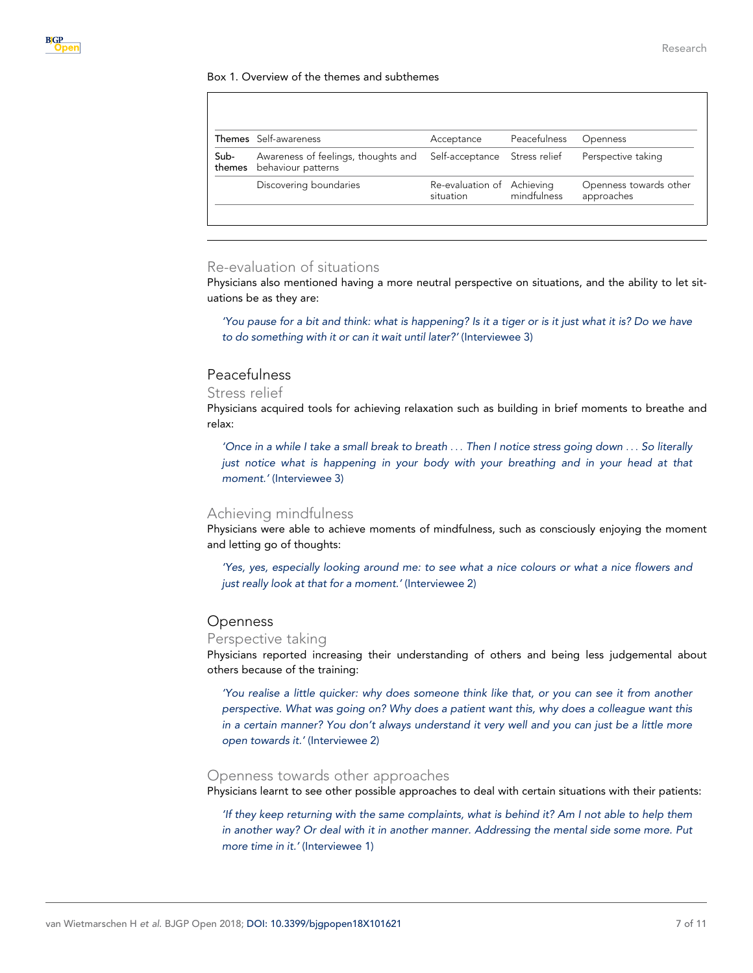#### <span id="page-6-0"></span>Box 1. Overview of the themes and subthemes

|                | <b>Themes</b> Self-awareness                              | Acceptance                              | Peacefulness | Openness                             |
|----------------|-----------------------------------------------------------|-----------------------------------------|--------------|--------------------------------------|
| Sub-<br>themes | Awareness of feelings, thoughts and<br>behaviour patterns | Self-acceptance Stress relief           |              | Perspective taking                   |
|                | Discovering boundaries                                    | Re-evaluation of Achieving<br>situation | mindfulness  | Openness towards other<br>approaches |

## Re-evaluation of situations

Physicians also mentioned having a more neutral perspective on situations, and the ability to let situations be as they are:

*'You pause for a bit and think: what is happening? Is it a tiger or is it just what it is? Do we have to do something with it or can it wait until later?'* (Interviewee 3)

## Peacefulness

#### Stress relief

Physicians acquired tools for achieving relaxation such as building in brief moments to breathe and relax:

*'Once in a while I take a small break to breath* . . . *Then I notice stress going down* . . . *So literally just notice what is happening in your body with your breathing and in your head at that moment.'* (Interviewee 3)

#### Achieving mindfulness

Physicians were able to achieve moments of mindfulness, such as consciously enjoying the moment and letting go of thoughts:

*'Yes, yes, especially looking around me: to see what a nice colours or what a nice flowers and just really look at that for a moment.'* (Interviewee 2)

## Openness

#### Perspective taking

Physicians reported increasing their understanding of others and being less judgemental about others because of the training:

*'You realise a little quicker: why does someone think like that, or you can see it from another perspective. What was going on? Why does a patient want this, why does a colleague want this in a certain manner? You don't always understand it very well and you can just be a little more open towards it.'* (Interviewee 2)

#### Openness towards other approaches

Physicians learnt to see other possible approaches to deal with certain situations with their patients:

*'If they keep returning with the same complaints, what is behind it? Am I not able to help them in another way? Or deal with it in another manner. Addressing the mental side some more. Put more time in it.'* (Interviewee 1)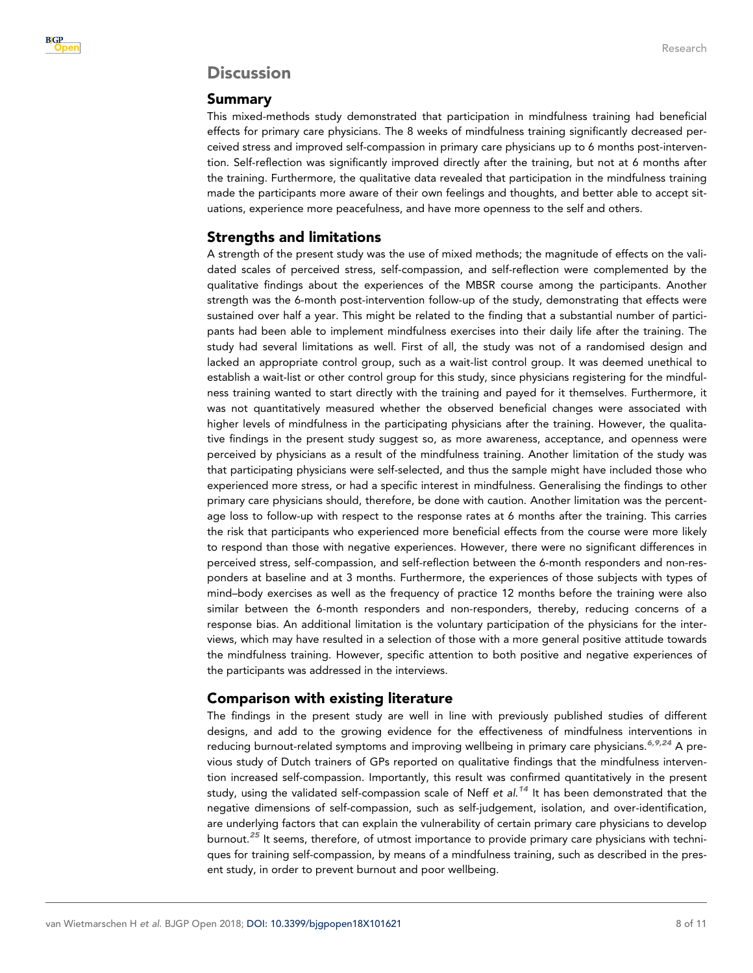# **Discussion**

## Summary

This mixed-methods study demonstrated that participation in mindfulness training had beneficial effects for primary care physicians. The 8 weeks of mindfulness training significantly decreased perceived stress and improved self-compassion in primary care physicians up to 6 months post-intervention. Self-reflection was significantly improved directly after the training, but not at 6 months after the training. Furthermore, the qualitative data revealed that participation in the mindfulness training made the participants more aware of their own feelings and thoughts, and better able to accept situations, experience more peacefulness, and have more openness to the self and others.

## Strengths and limitations

A strength of the present study was the use of mixed methods; the magnitude of effects on the validated scales of perceived stress, self-compassion, and self-reflection were complemented by the qualitative findings about the experiences of the MBSR course among the participants. Another strength was the 6-month post-intervention follow-up of the study, demonstrating that effects were sustained over half a year. This might be related to the finding that a substantial number of participants had been able to implement mindfulness exercises into their daily life after the training. The study had several limitations as well. First of all, the study was not of a randomised design and lacked an appropriate control group, such as a wait-list control group. It was deemed unethical to establish a wait-list or other control group for this study, since physicians registering for the mindfulness training wanted to start directly with the training and payed for it themselves. Furthermore, it was not quantitatively measured whether the observed beneficial changes were associated with higher levels of mindfulness in the participating physicians after the training. However, the qualitative findings in the present study suggest so, as more awareness, acceptance, and openness were perceived by physicians as a result of the mindfulness training. Another limitation of the study was that participating physicians were self-selected, and thus the sample might have included those who experienced more stress, or had a specific interest in mindfulness. Generalising the findings to other primary care physicians should, therefore, be done with caution. Another limitation was the percentage loss to follow-up with respect to the response rates at 6 months after the training. This carries the risk that participants who experienced more beneficial effects from the course were more likely to respond than those with negative experiences. However, there were no significant differences in perceived stress, self-compassion, and self-reflection between the 6-month responders and non-responders at baseline and at 3 months. Furthermore, the experiences of those subjects with types of mind–body exercises as well as the frequency of practice 12 months before the training were also similar between the 6-month responders and non-responders, thereby, reducing concerns of a response bias. An additional limitation is the voluntary participation of the physicians for the interviews, which may have resulted in a selection of those with a more general positive attitude towards the mindfulness training. However, specific attention to both positive and negative experiences of the participants was addressed in the interviews.

## Comparison with existing literature

The findings in the present study are well in line with previously published studies of different designs, and add to the growing evidence for the effectiveness of mindfulness interventions in reducing burnout-related symptoms and improving wellbeing in primary care physicians.<sup>[6,9,24](#page-9-0)</sup> A previous study of Dutch trainers of GPs reported on qualitative findings that the mindfulness intervention increased self-compassion. Importantly, this result was confirmed quantitatively in the present study, using the validated self-compassion scale of Neff *et al*. [14](#page-9-0) It has been demonstrated that the negative dimensions of self-compassion, such as self-judgement, isolation, and over-identification, are underlying factors that can explain the vulnerability of certain primary care physicians to develop burnout.<sup>[25](#page-9-0)</sup> It seems, therefore, of utmost importance to provide primary care physicians with techniques for training self-compassion, by means of a mindfulness training, such as described in the present study, in order to prevent burnout and poor wellbeing.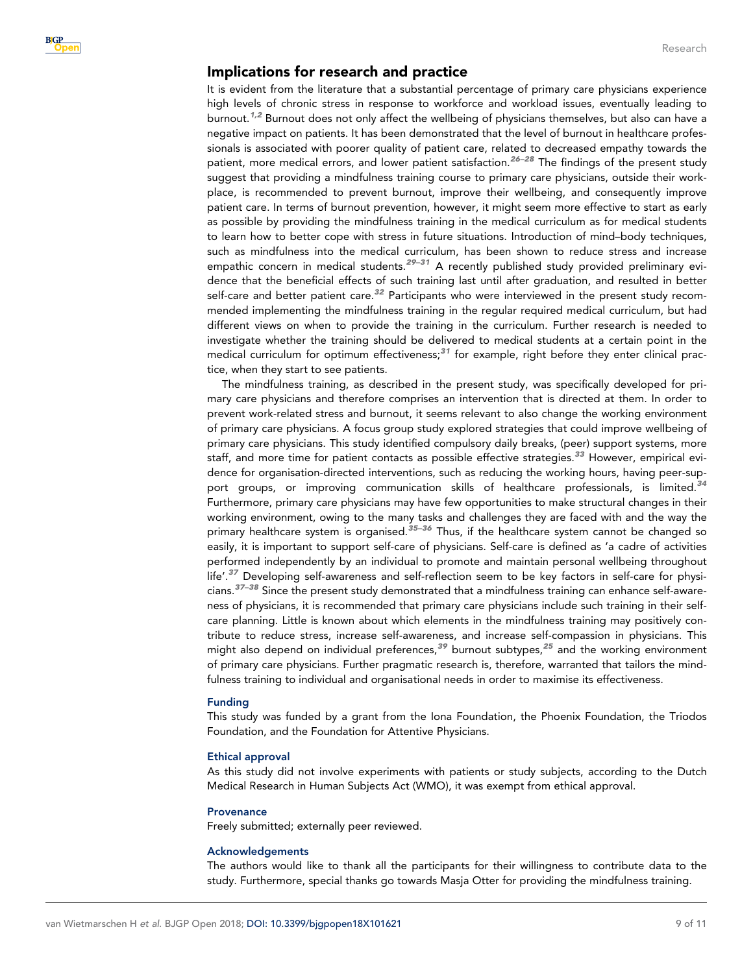#### Implications for research and practice

It is evident from the literature that a substantial percentage of primary care physicians experience high levels of chronic stress in response to workforce and workload issues, eventually leading to burnout.<sup>[1,2](#page-9-0)</sup> Burnout does not only affect the wellbeing of physicians themselves, but also can have a negative impact on patients. It has been demonstrated that the level of burnout in healthcare professionals is associated with poorer quality of patient care, related to decreased empathy towards the patient, more medical errors, and lower patient satisfaction.<sup>[26–28](#page-9-0)</sup> The findings of the present study suggest that providing a mindfulness training course to primary care physicians, outside their workplace, is recommended to prevent burnout, improve their wellbeing, and consequently improve patient care. In terms of burnout prevention, however, it might seem more effective to start as early as possible by providing the mindfulness training in the medical curriculum as for medical students to learn how to better cope with stress in future situations. Introduction of mind–body techniques, such as mindfulness into the medical curriculum, has been shown to reduce stress and increase empathic concern in medical students.<sup>[29–31](#page-10-0)</sup> A recently published study provided preliminary evidence that the beneficial effects of such training last until after graduation, and resulted in better self-care and better patient care.<sup>[32](#page-10-0)</sup> Participants who were interviewed in the present study recommended implementing the mindfulness training in the regular required medical curriculum, but had different views on when to provide the training in the curriculum. Further research is needed to investigate whether the training should be delivered to medical students at a certain point in the medical curriculum for optimum effectiveness;<sup>[31](#page-10-0)</sup> for example, right before they enter clinical practice, when they start to see patients.

The mindfulness training, as described in the present study, was specifically developed for primary care physicians and therefore comprises an intervention that is directed at them. In order to prevent work-related stress and burnout, it seems relevant to also change the working environment of primary care physicians. A focus group study explored strategies that could improve wellbeing of primary care physicians. This study identified compulsory daily breaks, (peer) support systems, more staff, and more time for patient contacts as possible effective strategies.<sup>[33](#page-10-0)</sup> However, empirical evidence for organisation-directed interventions, such as reducing the working hours, having peer-sup-port groups, or improving communication skills of healthcare professionals, is limited.<sup>[34](#page-10-0)</sup> Furthermore, primary care physicians may have few opportunities to make structural changes in their working environment, owing to the many tasks and challenges they are faced with and the way the primary healthcare system is organised.<sup>[35–36](#page-10-0)</sup> Thus, if the healthcare system cannot be changed so easily, it is important to support self-care of physicians. Self-care is defined as 'a cadre of activities performed independently by an individual to promote and maintain personal wellbeing throughout life'.<sup>[37](#page-10-0)</sup> Developing self-awareness and self-reflection seem to be key factors in self-care for physi-cians.<sup>[37–38](#page-10-0)</sup> Since the present study demonstrated that a mindfulness training can enhance self-awareness of physicians, it is recommended that primary care physicians include such training in their selfcare planning. Little is known about which elements in the mindfulness training may positively contribute to reduce stress, increase self-awareness, and increase self-compassion in physicians. This might also depend on individual preferences,<sup>[39](#page-10-0)</sup> burnout subtypes,<sup>[25](#page-9-0)</sup> and the working environment of primary care physicians. Further pragmatic research is, therefore, warranted that tailors the mindfulness training to individual and organisational needs in order to maximise its effectiveness.

#### Funding

This study was funded by a grant from the Iona Foundation, the Phoenix Foundation, the Triodos Foundation, and the Foundation for Attentive Physicians.

#### Ethical approval

As this study did not involve experiments with patients or study subjects, according to the Dutch Medical Research in Human Subjects Act (WMO), it was exempt from ethical approval.

#### Provenance

Freely submitted; externally peer reviewed.

#### Acknowledgements

The authors would like to thank all the participants for their willingness to contribute data to the study. Furthermore, special thanks go towards Masja Otter for providing the mindfulness training.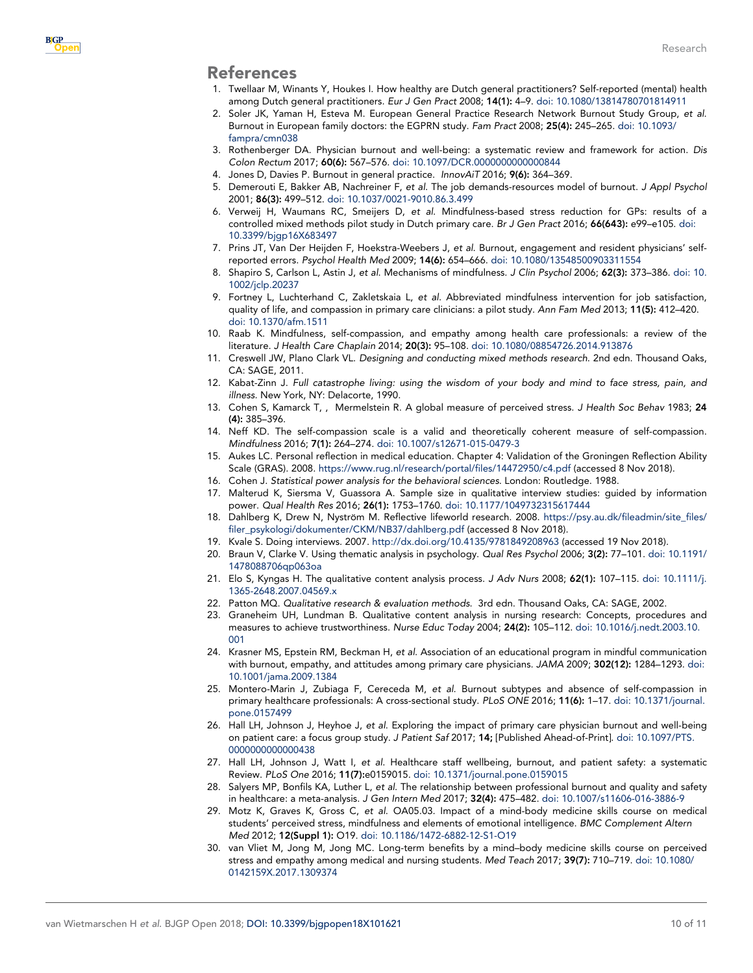## <span id="page-9-0"></span>References

- 1. Twellaar M, Winants Y, Houkes I. How healthy are Dutch general practitioners? Self-reported (mental) health among Dutch general practitioners. *Eur J Gen Pract* 2008; 14(1): 4–9. [doi: 10.1080/13814780701814911](http://dx.doi.org/10.1080/13814780701814911)
- 2. Soler JK, Yaman H, Esteva M. European General Practice Research Network Burnout Study Group, *et al*. Burnout in European family doctors: the EGPRN study. *Fam Pract* 2008; 25(4): 245–265. [doi: 10.1093/](http://dx.doi.org/10.1093/fampra/cmn038) [fampra/cmn038](http://dx.doi.org/10.1093/fampra/cmn038)
- 3. Rothenberger DA. Physician burnout and well-being: a systematic review and framework for action. *Dis Colon Rectum* 2017; 60(6): 567–576. [doi: 10.1097/DCR.0000000000000844](http://dx.doi.org/10.1097/DCR.0000000000000844)
- 4. Jones D, Davies P. Burnout in general practice. *InnovAiT* 2016; 9(6): 364–369.
- 5. Demerouti E, Bakker AB, Nachreiner F, *et al*. The job demands-resources model of burnout. *J Appl Psychol* 2001; 86(3): 499–512. [doi: 10.1037/0021-9010.86.3.499](http://dx.doi.org/10.1037/0021-9010.86.3.499)
- 6. Verweij H, Waumans RC, Smeijers D, *et al*. Mindfulness-based stress reduction for GPs: results of a controlled mixed methods pilot study in Dutch primary care. *Br J Gen Pract* 2016; 66(643): e99–e105. [doi:](http://dx.doi.org/10.3399/bjgp16X683497) [10.3399/bjgp16X683497](http://dx.doi.org/10.3399/bjgp16X683497)
- 7. Prins JT, Van Der Heijden F, Hoekstra-Weebers J, *et al*. Burnout, engagement and resident physicians' selfreported errors. *Psychol Health Med* 2009; 14(6): 654–666. [doi: 10.1080/13548500903311554](http://dx.doi.org/10.1080/13548500903311554)
- 8. Shapiro S, Carlson L, Astin J, *et al*. Mechanisms of mindfulness. *J Clin Psychol* 2006; 62(3): 373–386. [doi: 10.](http://dx.doi.org/10.1002/jclp.20237) [1002/jclp.20237](http://dx.doi.org/10.1002/jclp.20237)
- 9. Fortney L, Luchterhand C, Zakletskaia L, *et al*. Abbreviated mindfulness intervention for job satisfaction, quality of life, and compassion in primary care clinicians: a pilot study. *Ann Fam Med* 2013; 11(5): 412–420. [doi: 10.1370/afm.1511](http://dx.doi.org/10.1370/afm.1511)
- 10. Raab K. Mindfulness, self-compassion, and empathy among health care professionals: a review of the literature. *J Health Care Chaplain* 2014; 20(3): 95–108. [doi: 10.1080/08854726.2014.913876](http://dx.doi.org/10.1080/08854726.2014.913876)
- 11. Creswell JW, Plano Clark VL. *Designing and conducting mixed methods research*. 2nd edn. Thousand Oaks, CA: SAGE, 2011.
- 12. Kabat-Zinn J. *Full catastrophe living: using the wisdom of your body and mind to face stress, pain, and illness*. New York, NY: Delacorte, 1990.
- 13. Cohen S, Kamarck T, , Mermelstein R. A global measure of perceived stress. *J Health Soc Behav* 1983; 24 (4): 385–396.
- 14. Neff KD. The self-compassion scale is a valid and theoretically coherent measure of self-compassion. *Mindfulness* 2016; 7(1): 264–274. [doi: 10.1007/s12671-015-0479-3](http://dx.doi.org/10.1007/s12671-015-0479-3)
- 15. Aukes LC. Personal reflection in medical education. Chapter 4: Validation of the Groningen Reflection Ability Scale (GRAS). 2008. <https://www.rug.nl/research/portal/files/14472950/c4.pdf> (accessed 8 Nov 2018).
- 16. Cohen J. *Statistical power analysis for the behavioral sciences*. London: Routledge. 1988.
- 17. Malterud K, Siersma V, Guassora A. Sample size in qualitative interview studies: guided by information power. *Qual Health Res* 2016; 26(1): 1753–1760. [doi: 10.1177/1049732315617444](http://dx.doi.org/10.1177/1049732315617444)
- 18. Dahlberg K, Drew N, Nyström M. Reflective lifeworld research. 2008. [https://psy.au.dk/fileadmin/site\\_files/](https://psy.au.dk/fileadmin/site_files/filer_psykologi/dokumenter/CKM/NB37/dahlberg.pdf) [filer\\_psykologi/dokumenter/CKM/NB37/dahlberg.pdf](https://psy.au.dk/fileadmin/site_files/filer_psykologi/dokumenter/CKM/NB37/dahlberg.pdf) (accessed 8 Nov 2018).
- 19. Kvale S. Doing interviews. 2007. <http://dx.doi.org/10.4135/9781849208963> (accessed 19 Nov 2018).
- 20. Braun V, Clarke V. Using thematic analysis in psychology. *Qual Res Psychol* 2006; 3(2): 77–101. [doi: 10.1191/](http://dx.doi.org/10.1191/1478088706qp063oa) [1478088706qp063oa](http://dx.doi.org/10.1191/1478088706qp063oa)
- 21. Elo S, Kyngas H. The qualitative content analysis process. *J Adv Nurs* 2008; 62(1): 107–115. [doi: 10.1111/j.](http://dx.doi.org/10.1111/j.1365-2648.2007.04569.x) [1365-2648.2007.04569.x](http://dx.doi.org/10.1111/j.1365-2648.2007.04569.x)
- 22. Patton MQ. *Qualitative research & evaluation methods*. 3rd edn. Thousand Oaks, CA: SAGE, 2002.
- 23. Graneheim UH, Lundman B. Qualitative content analysis in nursing research: Concepts, procedures and measures to achieve trustworthiness. *Nurse Educ Today* 2004; 24(2): 105–112. [doi: 10.1016/j.nedt.2003.10.](http://dx.doi.org/10.1016/j.nedt.2003.10.001) [001](http://dx.doi.org/10.1016/j.nedt.2003.10.001)
- 24. Krasner MS, Epstein RM, Beckman H, *et al*. Association of an educational program in mindful communication with burnout, empathy, and attitudes among primary care physicians. *JAMA* 2009; 302(12): 1284–1293. [doi:](http://dx.doi.org/10.1001/jama.2009.1384) [10.1001/jama.2009.1384](http://dx.doi.org/10.1001/jama.2009.1384)
- 25. Montero-Marin J, Zubiaga F, Cereceda M, *et al*. Burnout subtypes and absence of self-compassion in primary healthcare professionals: A cross-sectional study. *PLoS ONE* 2016; 11(6): 1–17. [doi: 10.1371/journal.](http://dx.doi.org/10.1371/journal.pone.0157499) [pone.0157499](http://dx.doi.org/10.1371/journal.pone.0157499)
- 26. Hall LH, Johnson J, Heyhoe J, *et al*. Exploring the impact of primary care physician burnout and well-being on patient care: a focus group study. *J Patient Saf* 2017; 14; [Published Ahead-of-Print]. [doi: 10.1097/PTS.](http://dx.doi.org/10.1097/PTS.0000000000000438) [0000000000000438](http://dx.doi.org/10.1097/PTS.0000000000000438)
- 27. Hall LH, Johnson J, Watt I, *et al*. Healthcare staff wellbeing, burnout, and patient safety: a systematic Review. *PLoS One* 2016; 11(7):e0159015. [doi: 10.1371/journal.pone.0159015](http://dx.doi.org/10.1371/journal.pone.0159015)
- 28. Salyers MP, Bonfils KA, Luther L, *et al*. The relationship between professional burnout and quality and safety in healthcare: a meta-analysis. *J Gen Intern Med* 2017; 32(4): 475–482. [doi: 10.1007/s11606-016-3886-9](http://dx.doi.org/10.1007/s11606-016-3886-9)
- 29. Motz K, Graves K, Gross C, *et al*. OA05.03. Impact of a mind-body medicine skills course on medical students' perceived stress, mindfulness and elements of emotional intelligence. *BMC Complement Altern Med* 2012; 12(Suppl 1): O19. [doi: 10.1186/1472-6882-12-S1-O19](http://dx.doi.org/10.1186/1472-6882-12-S1-O19)
- 30. van Vliet M, Jong M, Jong MC. Long-term benefits by a mind–body medicine skills course on perceived stress and empathy among medical and nursing students. *Med Teach* 2017; 39(7): 710–719. [doi: 10.1080/](http://dx.doi.org/10.1080/0142159X.2017.1309374) [0142159X.2017.1309374](http://dx.doi.org/10.1080/0142159X.2017.1309374)